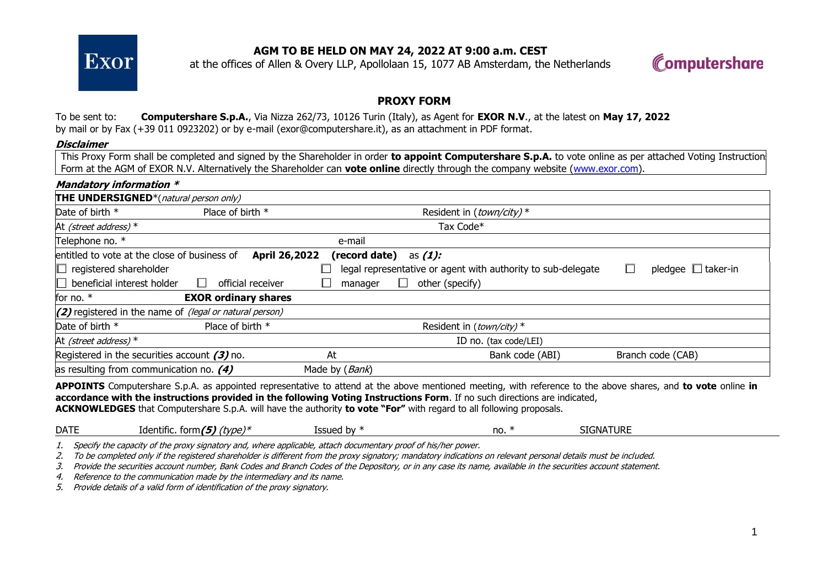

# **AGM TO BE HELD ON MAY 24, 2022 AT 9:00 a.m. CEST**

at the offices of Allen & Overy LLP, Apollolaan 15, 1077 AB Amsterdam, the Netherlands



### **PROXY FORM**

### To be sent to: **Computershare S.p.A.**, Via Nizza 262/73, 10126 Turin (Italy), as Agent for **EXOR N.V**., at the latest on **May 17, 2022** by mail or by Fax (+39 011 0923202) or by e-mail (exor@computershare.it), as an attachment in PDF format.

#### **Disclaimer**

This Proxy Form shall be completed and signed by the Shareholder in order **to appoint Computershare S.p.A.** to vote online as per attached Voting Instructions Form at the AGM of EXOR N.V. Alternatively the Shareholder can **vote online** directly through the company website [\(www.exor.com\)](http://www.exor.com/).

| <b>Mandatory information *</b>                          |                             |                |                                                              |                         |
|---------------------------------------------------------|-----------------------------|----------------|--------------------------------------------------------------|-------------------------|
| <b>THE UNDERSIGNED</b> *(natural person only)           |                             |                |                                                              |                         |
| Date of birth *                                         | Place of birth *            |                | Resident in (town/city)*                                     |                         |
| At (street address) $*$                                 |                             |                | Tax Code*                                                    |                         |
| Telephone no. *                                         |                             | e-mail         |                                                              |                         |
| entitled to vote at the close of business of            | April 26,2022               | (record date)  | as $(1)$ :                                                   |                         |
| $\Box$<br>registered shareholder                        |                             |                | legal representative or agent with authority to sub-delegate | pledgee $\Box$ taker-in |
| $\Box$ beneficial interest holder                       | official receiver           | manager        | other (specify)<br>$\Box$                                    |                         |
| for no. *                                               | <b>EXOR ordinary shares</b> |                |                                                              |                         |
| (2) registered in the name of (legal or natural person) |                             |                |                                                              |                         |
| Date of birth *                                         | Place of birth *            |                | Resident in (town/city) $*$                                  |                         |
| At (street address) $*$                                 |                             |                | ID no. (tax code/LEI)                                        |                         |
| Registered in the securities account $(3)$ no.          |                             | At             | Bank code (ABI)                                              | Branch code (CAB)       |
| as resulting from communication no. $(4)$               |                             | Made by (Bank) |                                                              |                         |

**APPOINTS** Computershare S.p.A. as appointed representative to attend at the above mentioned meeting, with reference to the above shares, and **to vote** online **in accordance with the instructions provided in the following Voting Instructions Form**. If no such directions are indicated, **ACKNOWLEDGES** that Computershare S.p.A. will have the authority **to vote "For"** with regard to all following proposals.

| <b>DATE</b> | .<br><b>A</b> . <i>I</i><br>Identific<br>form/<br>type)* | .<br>$\sim$<br>nv<br>'SSUCU | no. | Vaturi<br>SIGNA |  |
|-------------|----------------------------------------------------------|-----------------------------|-----|-----------------|--|
|-------------|----------------------------------------------------------|-----------------------------|-----|-----------------|--|

1. Specify the capacity of the proxy signatory and, where applicable, attach documentary proof of his/her power.

2. To be completed only if the registered shareholder is different from the proxy signatory; mandatory indications on relevant personal details must be included.

3. Provide the securities account number, Bank Codes and Branch Codes of the Depository, or in any case its name, available in the securities account statement.

4. Reference to the communication made by the intermediary and its name.

5. Provide details of a valid form of identification of the proxy signatory.